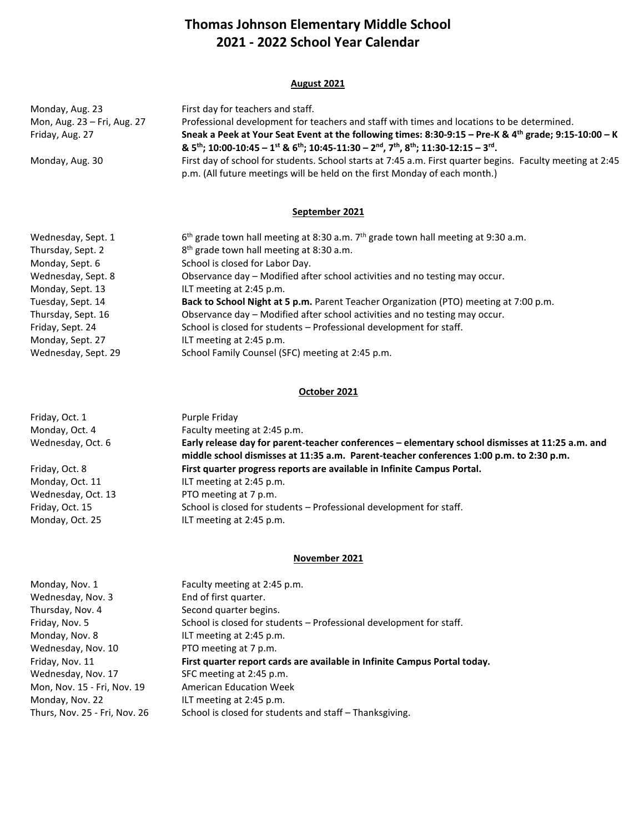# **Thomas Johnson Elementary Middle School 2021 - 2022 School Year Calendar**

#### **August 2021**

| Monday, Aug. 23             | First day for teachers and staff.                                                                                                                                                                                                                                    |
|-----------------------------|----------------------------------------------------------------------------------------------------------------------------------------------------------------------------------------------------------------------------------------------------------------------|
| Mon, Aug. 23 - Fri, Aug. 27 | Professional development for teachers and staff with times and locations to be determined.                                                                                                                                                                           |
| Friday, Aug. 27             | Sneak a Peek at Your Seat Event at the following times: 8:30-9:15 - Pre-K & 4th grade; 9:15-10:00 - K<br>& $5^{th}$ ; 10:00-10:45 - 1 <sup>st</sup> & $6^{th}$ ; 10:45-11:30 - 2 <sup>nd</sup> , 7 <sup>th</sup> , 8 <sup>th</sup> ; 11:30-12:15 - 3 <sup>rd</sup> . |
| Monday, Aug. 30             | First day of school for students. School starts at 7:45 a.m. First quarter begins. Faculty meeting at 2:45<br>p.m. (All future meetings will be held on the first Monday of each month.)                                                                             |

## **September 2021**

| $6th$ grade town hall meeting at 8:30 a.m. 7 <sup>th</sup> grade town hall meeting at 9:30 a.m. |
|-------------------------------------------------------------------------------------------------|
| 8 <sup>th</sup> grade town hall meeting at 8:30 a.m.                                            |
| School is closed for Labor Day.                                                                 |
| Observance day - Modified after school activities and no testing may occur.                     |
| ILT meeting at 2:45 p.m.                                                                        |
| Back to School Night at 5 p.m. Parent Teacher Organization (PTO) meeting at 7:00 p.m.           |
| Observance day - Modified after school activities and no testing may occur.                     |
| School is closed for students - Professional development for staff.                             |
| ILT meeting at 2:45 p.m.                                                                        |
| School Family Counsel (SFC) meeting at 2:45 p.m.                                                |
|                                                                                                 |

#### **October 2021**

| Friday, Oct. 1     | Purple Friday                                                                                    |
|--------------------|--------------------------------------------------------------------------------------------------|
| Monday, Oct. 4     | Faculty meeting at 2:45 p.m.                                                                     |
| Wednesday, Oct. 6  | Early release day for parent-teacher conferences - elementary school dismisses at 11:25 a.m. and |
|                    | middle school dismisses at 11:35 a.m. Parent-teacher conferences 1:00 p.m. to 2:30 p.m.          |
| Friday, Oct. 8     | First quarter progress reports are available in Infinite Campus Portal.                          |
| Monday, Oct. 11    | ILT meeting at 2:45 p.m.                                                                         |
| Wednesday, Oct. 13 | PTO meeting at 7 p.m.                                                                            |
| Friday, Oct. 15    | School is closed for students - Professional development for staff.                              |
| Monday, Oct. 25    | ILT meeting at 2:45 p.m.                                                                         |

#### **November 2021**

| Monday, Nov. 1                | Faculty meeting at 2:45 p.m.                                              |
|-------------------------------|---------------------------------------------------------------------------|
| Wednesday, Nov. 3             | End of first quarter.                                                     |
| Thursday, Nov. 4              | Second quarter begins.                                                    |
| Friday, Nov. 5                | School is closed for students – Professional development for staff.       |
| Monday, Nov. 8                | ILT meeting at 2:45 p.m.                                                  |
| Wednesday, Nov. 10            | PTO meeting at 7 p.m.                                                     |
| Friday, Nov. 11               | First quarter report cards are available in Infinite Campus Portal today. |
| Wednesday, Nov. 17            | SFC meeting at 2:45 p.m.                                                  |
| Mon, Nov. 15 - Fri, Nov. 19   | <b>American Education Week</b>                                            |
| Monday, Nov. 22               | ILT meeting at 2:45 p.m.                                                  |
| Thurs, Nov. 25 - Fri, Nov. 26 | School is closed for students and staff – Thanksgiving.                   |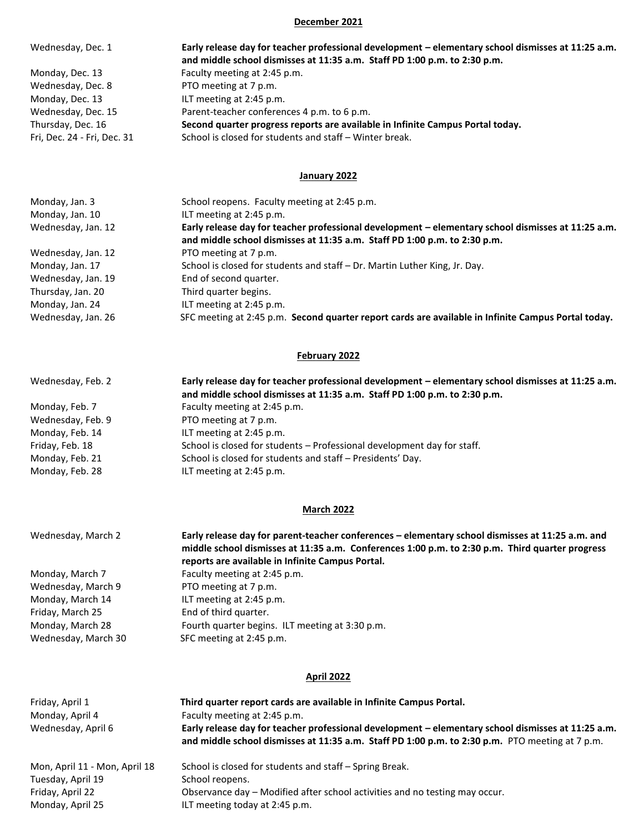#### **December 2021**

| Wednesday, Dec. 1           | Early release day for teacher professional development - elementary school dismisses at 11:25 a.m. |
|-----------------------------|----------------------------------------------------------------------------------------------------|
|                             | and middle school dismisses at 11:35 a.m. Staff PD 1:00 p.m. to 2:30 p.m.                          |
| Monday, Dec. 13             | Faculty meeting at 2:45 p.m.                                                                       |
| Wednesday, Dec. 8           | PTO meeting at 7 p.m.                                                                              |
| Monday, Dec. 13             | ILT meeting at 2:45 p.m.                                                                           |
| Wednesday, Dec. 15          | Parent-teacher conferences 4 p.m. to 6 p.m.                                                        |
| Thursday, Dec. 16           | Second quarter progress reports are available in Infinite Campus Portal today.                     |
| Fri. Dec. 24 - Fri. Dec. 31 | School is closed for students and staff - Winter break.                                            |

#### **January 2022**

| Monday, Jan. 3     | School reopens. Faculty meeting at 2:45 p.m.                                                                                                                                    |
|--------------------|---------------------------------------------------------------------------------------------------------------------------------------------------------------------------------|
| Monday, Jan. 10    | ILT meeting at 2:45 p.m.                                                                                                                                                        |
| Wednesday, Jan. 12 | Early release day for teacher professional development - elementary school dismisses at 11:25 a.m.<br>and middle school dismisses at 11:35 a.m. Staff PD 1:00 p.m. to 2:30 p.m. |
| Wednesday, Jan. 12 | PTO meeting at 7 p.m.                                                                                                                                                           |
| Monday, Jan. 17    | School is closed for students and staff - Dr. Martin Luther King, Jr. Day.                                                                                                      |
| Wednesday, Jan. 19 | End of second quarter.                                                                                                                                                          |
| Thursday, Jan. 20  | Third quarter begins.                                                                                                                                                           |
| Monday, Jan. 24    | ILT meeting at 2:45 p.m.                                                                                                                                                        |
| Wednesday, Jan. 26 | SFC meeting at 2:45 p.m. Second quarter report cards are available in Infinite Campus Portal today.                                                                             |

#### **February 2022**

| Wednesday, Feb. 2 | Early release day for teacher professional development - elementary school dismisses at 11:25 a.m.<br>and middle school dismisses at 11:35 a.m. Staff PD 1:00 p.m. to 2:30 p.m. |
|-------------------|---------------------------------------------------------------------------------------------------------------------------------------------------------------------------------|
| Monday, Feb. 7    | Faculty meeting at 2:45 p.m.                                                                                                                                                    |
| Wednesday, Feb. 9 | PTO meeting at 7 p.m.                                                                                                                                                           |
| Monday, Feb. 14   | ILT meeting at 2:45 p.m.                                                                                                                                                        |
| Friday, Feb. 18   | School is closed for students - Professional development day for staff.                                                                                                         |
| Monday, Feb. 21   | School is closed for students and staff - Presidents' Day.                                                                                                                      |
| Monday, Feb. 28   | ILT meeting at 2:45 p.m.                                                                                                                                                        |

# **March 2022**

| Wednesday, March 2  | Early release day for parent-teacher conferences - elementary school dismisses at 11:25 a.m. and<br>middle school dismisses at 11:35 a.m. Conferences 1:00 p.m. to 2:30 p.m. Third quarter progress<br>reports are available in Infinite Campus Portal. |
|---------------------|---------------------------------------------------------------------------------------------------------------------------------------------------------------------------------------------------------------------------------------------------------|
| Monday, March 7     | Faculty meeting at 2:45 p.m.                                                                                                                                                                                                                            |
| Wednesday, March 9  | PTO meeting at 7 p.m.                                                                                                                                                                                                                                   |
| Monday, March 14    | ILT meeting at 2:45 p.m.                                                                                                                                                                                                                                |
| Friday, March 25    | End of third quarter.                                                                                                                                                                                                                                   |
| Monday, March 28    | Fourth quarter begins. ILT meeting at 3:30 p.m.                                                                                                                                                                                                         |
| Wednesday, March 30 | SFC meeting at 2:45 p.m.                                                                                                                                                                                                                                |

# **April 2022**

| Friday, April 1<br>Monday, April 4<br>Wednesday, April 6 | Third quarter report cards are available in Infinite Campus Portal.<br>Faculty meeting at 2:45 p.m.<br>Early release day for teacher professional development - elementary school dismisses at 11:25 a.m.<br>and middle school dismisses at 11:35 a.m. Staff PD 1:00 p.m. to 2:30 p.m. PTO meeting at 7 p.m. |
|----------------------------------------------------------|--------------------------------------------------------------------------------------------------------------------------------------------------------------------------------------------------------------------------------------------------------------------------------------------------------------|
| Mon, April 11 - Mon, April 18                            | School is closed for students and staff - Spring Break.                                                                                                                                                                                                                                                      |
| Tuesday, April 19                                        | School reopens.                                                                                                                                                                                                                                                                                              |
| Friday, April 22                                         | Observance day – Modified after school activities and no testing may occur.                                                                                                                                                                                                                                  |
| Monday, April 25                                         | ILT meeting today at 2:45 p.m.                                                                                                                                                                                                                                                                               |